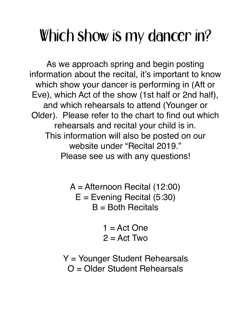## Which show is my dancer in?

As we approach spring and begin posting information about the recital, it's important to know which show your dancer is performing in (Aft or Eve), which Act of the show (1st half or 2nd half), and which rehearsals to attend (Younger or Older). Please refer to the chart to find out which rehearsals and recital your child is in. This information will also be posted on our website under "Recital 2019." Please see us with any questions!

> A = Afternoon Recital (12:00)  $E =$  Evening Recital (5:30)  $B =$  Both Recitals

> > $1 = Act$  One  $2 = Act Two$

Y = Younger Student Rehearsals O = Older Student Rehearsals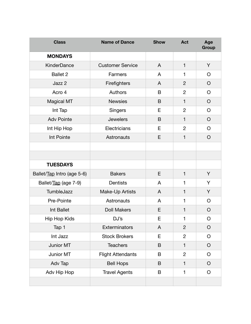| <b>Class</b>               | <b>Name of Dance</b>     | <b>Show</b> | <b>Act</b>     | Age<br>Group |
|----------------------------|--------------------------|-------------|----------------|--------------|
| <b>MONDAYS</b>             |                          |             |                |              |
| <b>KinderDance</b>         | <b>Customer Service</b>  | A           | $\mathbf{1}$   | Y            |
| <b>Ballet 2</b>            | Farmers                  | A           | 1              | $\circ$      |
| Jazz 2                     | Firefighters             | A           | $\overline{2}$ | $\circ$      |
| Acro 4                     | Authors                  | B           | $\overline{2}$ | $\circ$      |
| <b>Magical MT</b>          | <b>Newsies</b>           | B           | $\mathbf{1}$   | $\circ$      |
| Int Tap                    | Singers                  | E           | $\overline{2}$ | $\circ$      |
| <b>Adv Pointe</b>          | <b>Jewelers</b>          | B           | 1              | $\circ$      |
| Int Hip Hop                | Electricians             | E           | $\overline{2}$ | $\circ$      |
| Int Pointe                 | Astronauts               | E           | $\mathbf{1}$   | $\circ$      |
|                            |                          |             |                |              |
|                            |                          |             |                |              |
| <b>TUESDAYS</b>            |                          |             |                |              |
| Ballet/Tap Intro (age 5-6) | <b>Bakers</b>            | E           | 1              | Y            |
| Ballet/Tap (age 7-9)       | <b>Dentists</b>          | A           | 1              | Y            |
| TumbleJazz                 | Make-Up Artists          | A           | 1              | Y            |
| Pre-Pointe                 | Astronauts               | A           | 1              | O            |
| Int Ballet                 | <b>Doll Makers</b>       | E           | 1              | $\circ$      |
| Hip Hop Kids               | DJ's                     | E           | 1              | $\circ$      |
| Tap 1                      | Exterminators            | A           | $\overline{2}$ | $\circ$      |
| Int Jazz                   | <b>Stock Brokers</b>     | E           | $\overline{c}$ | $\circ$      |
| Junior MT                  | <b>Teachers</b>          | B           | 1              | $\circ$      |
| Junior MT                  | <b>Flight Attendants</b> | B           | $\overline{2}$ | $\circ$      |
| Adv Tap                    | <b>Bell Hops</b>         | B           | $\mathbf{1}$   | $\circ$      |
| Adv Hip Hop                | <b>Travel Agents</b>     | B           | $\mathbf{1}$   | $\circ$      |
|                            |                          |             |                |              |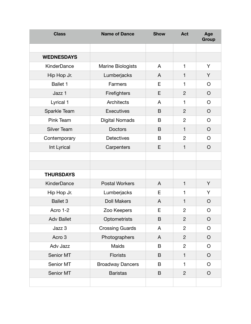| <b>Class</b>       | <b>Name of Dance</b>     | <b>Show</b> | <b>Act</b>     | Age<br>Group |
|--------------------|--------------------------|-------------|----------------|--------------|
|                    |                          |             |                |              |
| <b>WEDNESDAYS</b>  |                          |             |                |              |
| KinderDance        | <b>Marine Biologists</b> | A           | 1              | Y            |
| Hip Hop Jr.        | Lumberjacks              | A           | $\mathbf{1}$   | Y            |
| Ballet 1           | Farmers                  | E           | 1              | O            |
| Jazz 1             | Firefighters             | E           | $\overline{2}$ | $\circ$      |
| Lyrical 1          | <b>Architects</b>        | A           | 1              | O            |
| Sparkle Team       | <b>Executives</b>        | B           | $\overline{2}$ | $\circ$      |
| Pink Team          | <b>Digital Nomads</b>    | B           | $\overline{2}$ | O            |
| <b>Silver Team</b> | Doctors                  | B           | $\mathbf{1}$   | $\circ$      |
| Contemporary       | <b>Detectives</b>        | B           | $\overline{2}$ | O            |
| Int Lyrical        | Carpenters               | E           | $\mathbf{1}$   | $\circ$      |
|                    |                          |             |                |              |
|                    |                          |             |                |              |
| <b>THURSDAYS</b>   |                          |             |                |              |
| <b>KinderDance</b> | <b>Postal Workers</b>    | A           | $\mathbf{1}$   | Υ            |
| Hip Hop Jr.        | Lumberjacks              | Е           | $\mathbf{1}$   | Y            |
| <b>Ballet 3</b>    | <b>Doll Makers</b>       | A           | $\mathbf{1}$   | $\circ$      |
| Acro 1-2           | Zoo Keepers              | E           | $\overline{c}$ | $\circ$      |
| <b>Adv Ballet</b>  | Optometrists             | B           | $\overline{2}$ | $\bigcirc$   |
| Jazz 3             | <b>Crossing Guards</b>   | A           | $\overline{2}$ | O            |
| Acro 3             | Photographers            | A           | $\overline{2}$ | $\bigcirc$   |
| Adv Jazz           | Maids                    | B           | $\overline{2}$ | O            |
| Senior MT          | <b>Florists</b>          | B           | $\mathbf{1}$   | $\circ$      |
| Senior MT          | <b>Broadway Dancers</b>  | B           | $\mathbf{1}$   | O            |
| Senior MT          | <b>Baristas</b>          | B           | $\overline{2}$ | $\circ$      |
|                    |                          |             |                |              |